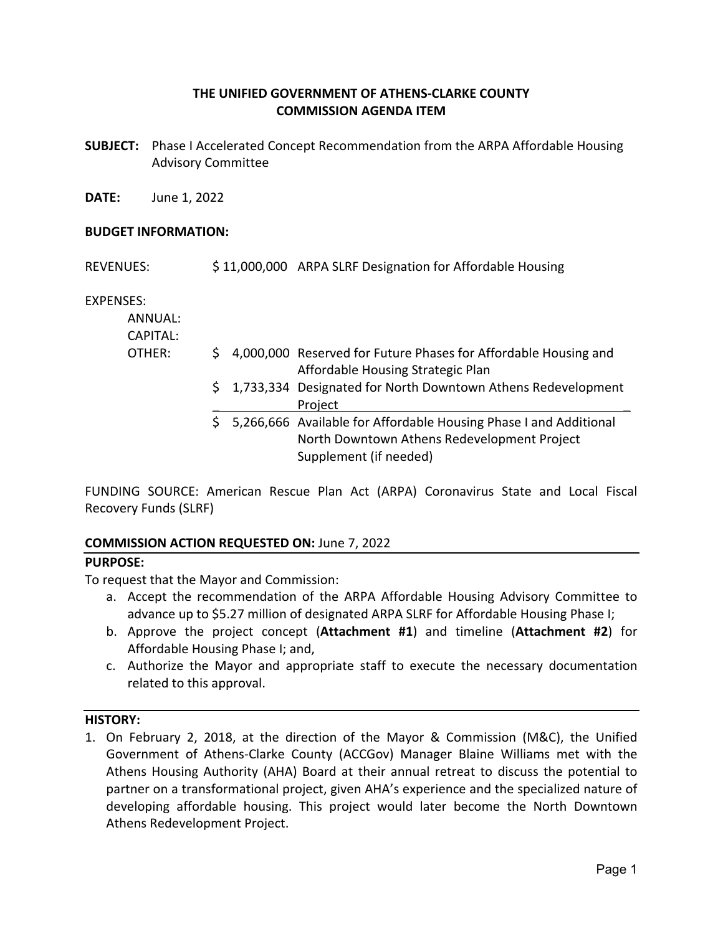## **THE UNIFIED GOVERNMENT OF ATHENS‐CLARKE COUNTY COMMISSION AGENDA ITEM**

**SUBJECT:**  Phase I Accelerated Concept Recommendation from the ARPA Affordable Housing Advisory Committee

**DATE:**  June 1, 2022

#### **BUDGET INFORMATION:**

| <b>REVENUES:</b> | \$11,000,000 ARPA SLRF Designation for Affordable Housing |  |
|------------------|-----------------------------------------------------------|--|
|                  |                                                           |  |

EXPENSES:

| ANNUAL:<br>CAPITAL: |  |                                                                                                                                              |
|---------------------|--|----------------------------------------------------------------------------------------------------------------------------------------------|
| OTHER:              |  | $\frac{1}{2}$ 4,000,000 Reserved for Future Phases for Affordable Housing and<br>Affordable Housing Strategic Plan                           |
|                     |  | \$1,733,334 Designated for North Downtown Athens Redevelopment<br>Project                                                                    |
|                     |  | \$5,266,666 Available for Affordable Housing Phase I and Additional<br>North Downtown Athens Redevelopment Project<br>Supplement (if needed) |

FUNDING SOURCE: American Rescue Plan Act (ARPA) Coronavirus State and Local Fiscal Recovery Funds (SLRF)

## **COMMISSION ACTION REQUESTED ON:** June 7, 2022

## **PURPOSE:**

To request that the Mayor and Commission:

- a. Accept the recommendation of the ARPA Affordable Housing Advisory Committee to advance up to \$5.27 million of designated ARPA SLRF for Affordable Housing Phase I;
- b. Approve the project concept (**Attachment #1**) and timeline (**Attachment #2**) for Affordable Housing Phase I; and,
- c. Authorize the Mayor and appropriate staff to execute the necessary documentation related to this approval.

#### **HISTORY:**

1. On February 2, 2018, at the direction of the Mayor & Commission (M&C), the Unified Government of Athens‐Clarke County (ACCGov) Manager Blaine Williams met with the Athens Housing Authority (AHA) Board at their annual retreat to discuss the potential to partner on a transformational project, given AHA's experience and the specialized nature of developing affordable housing. This project would later become the North Downtown Athens Redevelopment Project.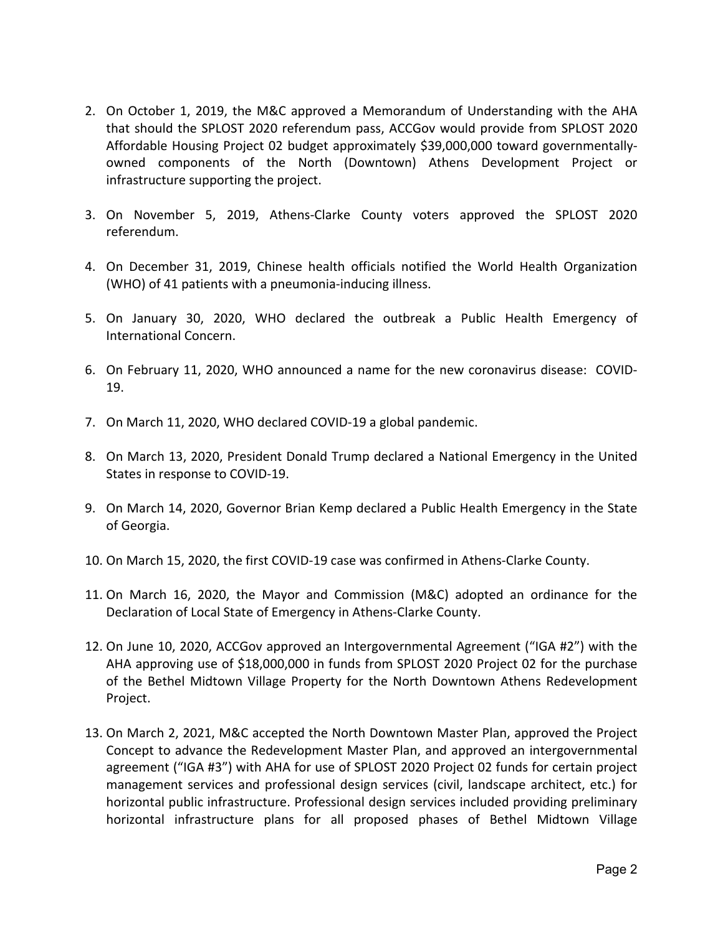- 2. On October 1, 2019, the M&C approved a Memorandum of Understanding with the AHA that should the SPLOST 2020 referendum pass, ACCGov would provide from SPLOST 2020 Affordable Housing Project 02 budget approximately \$39,000,000 toward governmentally‐ owned components of the North (Downtown) Athens Development Project or infrastructure supporting the project.
- 3. On November 5, 2019, Athens‐Clarke County voters approved the SPLOST 2020 referendum.
- 4. On December 31, 2019, Chinese health officials notified the World Health Organization (WHO) of 41 patients with a pneumonia‐inducing illness.
- 5. On January 30, 2020, WHO declared the outbreak a Public Health Emergency of International Concern.
- 6. On February 11, 2020, WHO announced a name for the new coronavirus disease: COVID‐ 19.
- 7. On March 11, 2020, WHO declared COVID‐19 a global pandemic.
- 8. On March 13, 2020, President Donald Trump declared a National Emergency in the United States in response to COVID‐19.
- 9. On March 14, 2020, Governor Brian Kemp declared a Public Health Emergency in the State of Georgia.
- 10. On March 15, 2020, the first COVID‐19 case was confirmed in Athens‐Clarke County.
- 11. On March 16, 2020, the Mayor and Commission (M&C) adopted an ordinance for the Declaration of Local State of Emergency in Athens‐Clarke County.
- 12. On June 10, 2020, ACCGov approved an Intergovernmental Agreement ("IGA #2") with the AHA approving use of \$18,000,000 in funds from SPLOST 2020 Project 02 for the purchase of the Bethel Midtown Village Property for the North Downtown Athens Redevelopment Project.
- 13. On March 2, 2021, M&C accepted the North Downtown Master Plan, approved the Project Concept to advance the Redevelopment Master Plan, and approved an intergovernmental agreement ("IGA #3") with AHA for use of SPLOST 2020 Project 02 funds for certain project management services and professional design services (civil, landscape architect, etc.) for horizontal public infrastructure. Professional design services included providing preliminary horizontal infrastructure plans for all proposed phases of Bethel Midtown Village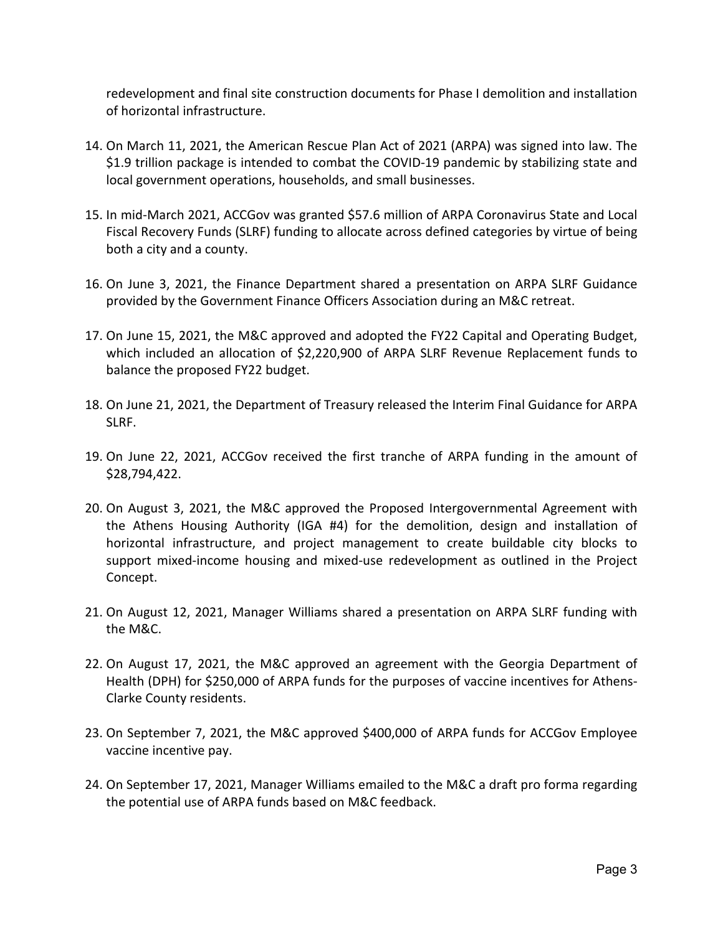redevelopment and final site construction documents for Phase I demolition and installation of horizontal infrastructure.

- 14. On March 11, 2021, the American Rescue Plan Act of 2021 (ARPA) was signed into law. The \$1.9 trillion package is intended to combat the COVID-19 pandemic by stabilizing state and local government operations, households, and small businesses.
- 15. In mid‐March 2021, ACCGov was granted \$57.6 million of ARPA Coronavirus State and Local Fiscal Recovery Funds (SLRF) funding to allocate across defined categories by virtue of being both a city and a county.
- 16. On June 3, 2021, the Finance Department shared a presentation on ARPA SLRF Guidance provided by the Government Finance Officers Association during an M&C retreat.
- 17. On June 15, 2021, the M&C approved and adopted the FY22 Capital and Operating Budget, which included an allocation of \$2,220,900 of ARPA SLRF Revenue Replacement funds to balance the proposed FY22 budget.
- 18. On June 21, 2021, the Department of Treasury released the Interim Final Guidance for ARPA SLRF.
- 19. On June 22, 2021, ACCGov received the first tranche of ARPA funding in the amount of \$28,794,422.
- 20. On August 3, 2021, the M&C approved the Proposed Intergovernmental Agreement with the Athens Housing Authority (IGA #4) for the demolition, design and installation of horizontal infrastructure, and project management to create buildable city blocks to support mixed-income housing and mixed-use redevelopment as outlined in the Project Concept.
- 21. On August 12, 2021, Manager Williams shared a presentation on ARPA SLRF funding with the M&C.
- 22. On August 17, 2021, the M&C approved an agreement with the Georgia Department of Health (DPH) for \$250,000 of ARPA funds for the purposes of vaccine incentives for Athens-Clarke County residents.
- 23. On September 7, 2021, the M&C approved \$400,000 of ARPA funds for ACCGov Employee vaccine incentive pay.
- 24. On September 17, 2021, Manager Williams emailed to the M&C a draft pro forma regarding the potential use of ARPA funds based on M&C feedback.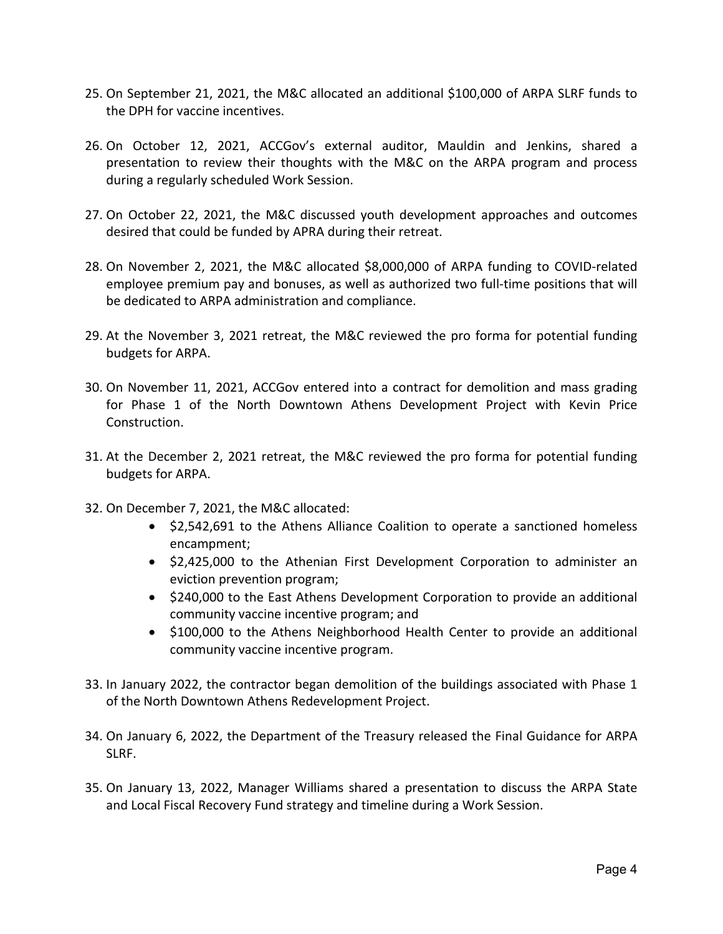- 25. On September 21, 2021, the M&C allocated an additional \$100,000 of ARPA SLRF funds to the DPH for vaccine incentives.
- 26. On October 12, 2021, ACCGov's external auditor, Mauldin and Jenkins, shared a presentation to review their thoughts with the M&C on the ARPA program and process during a regularly scheduled Work Session.
- 27. On October 22, 2021, the M&C discussed youth development approaches and outcomes desired that could be funded by APRA during their retreat.
- 28. On November 2, 2021, the M&C allocated \$8,000,000 of ARPA funding to COVID-related employee premium pay and bonuses, as well as authorized two full‐time positions that will be dedicated to ARPA administration and compliance.
- 29. At the November 3, 2021 retreat, the M&C reviewed the pro forma for potential funding budgets for ARPA.
- 30. On November 11, 2021, ACCGov entered into a contract for demolition and mass grading for Phase 1 of the North Downtown Athens Development Project with Kevin Price Construction.
- 31. At the December 2, 2021 retreat, the M&C reviewed the pro forma for potential funding budgets for ARPA.
- 32. On December 7, 2021, the M&C allocated:
	- \$2,542,691 to the Athens Alliance Coalition to operate a sanctioned homeless encampment;
	- \$2,425,000 to the Athenian First Development Corporation to administer an eviction prevention program;
	- \$240,000 to the East Athens Development Corporation to provide an additional community vaccine incentive program; and
	- \$100,000 to the Athens Neighborhood Health Center to provide an additional community vaccine incentive program.
- 33. In January 2022, the contractor began demolition of the buildings associated with Phase 1 of the North Downtown Athens Redevelopment Project.
- 34. On January 6, 2022, the Department of the Treasury released the Final Guidance for ARPA SLRF.
- 35. On January 13, 2022, Manager Williams shared a presentation to discuss the ARPA State and Local Fiscal Recovery Fund strategy and timeline during a Work Session.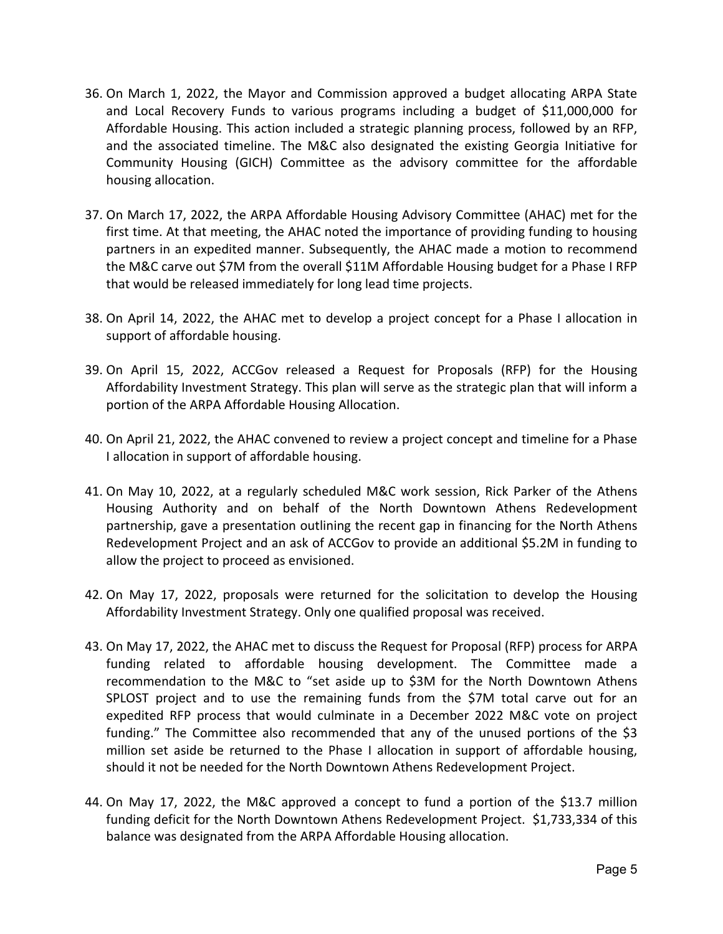- 36. On March 1, 2022, the Mayor and Commission approved a budget allocating ARPA State and Local Recovery Funds to various programs including a budget of \$11,000,000 for Affordable Housing. This action included a strategic planning process, followed by an RFP, and the associated timeline. The M&C also designated the existing Georgia Initiative for Community Housing (GICH) Committee as the advisory committee for the affordable housing allocation.
- 37. On March 17, 2022, the ARPA Affordable Housing Advisory Committee (AHAC) met for the first time. At that meeting, the AHAC noted the importance of providing funding to housing partners in an expedited manner. Subsequently, the AHAC made a motion to recommend the M&C carve out \$7M from the overall \$11M Affordable Housing budget for a Phase I RFP that would be released immediately for long lead time projects.
- 38. On April 14, 2022, the AHAC met to develop a project concept for a Phase I allocation in support of affordable housing.
- 39. On April 15, 2022, ACCGov released a Request for Proposals (RFP) for the Housing Affordability Investment Strategy. This plan will serve as the strategic plan that will inform a portion of the ARPA Affordable Housing Allocation.
- 40. On April 21, 2022, the AHAC convened to review a project concept and timeline for a Phase I allocation in support of affordable housing.
- 41. On May 10, 2022, at a regularly scheduled M&C work session, Rick Parker of the Athens Housing Authority and on behalf of the North Downtown Athens Redevelopment partnership, gave a presentation outlining the recent gap in financing for the North Athens Redevelopment Project and an ask of ACCGov to provide an additional \$5.2M in funding to allow the project to proceed as envisioned.
- 42. On May 17, 2022, proposals were returned for the solicitation to develop the Housing Affordability Investment Strategy. Only one qualified proposal was received.
- 43. On May 17, 2022, the AHAC met to discuss the Request for Proposal (RFP) process for ARPA funding related to affordable housing development. The Committee made a recommendation to the M&C to "set aside up to \$3M for the North Downtown Athens SPLOST project and to use the remaining funds from the \$7M total carve out for an expedited RFP process that would culminate in a December 2022 M&C vote on project funding." The Committee also recommended that any of the unused portions of the \$3 million set aside be returned to the Phase I allocation in support of affordable housing, should it not be needed for the North Downtown Athens Redevelopment Project.
- 44. On May 17, 2022, the M&C approved a concept to fund a portion of the \$13.7 million funding deficit for the North Downtown Athens Redevelopment Project. \$1,733,334 of this balance was designated from the ARPA Affordable Housing allocation.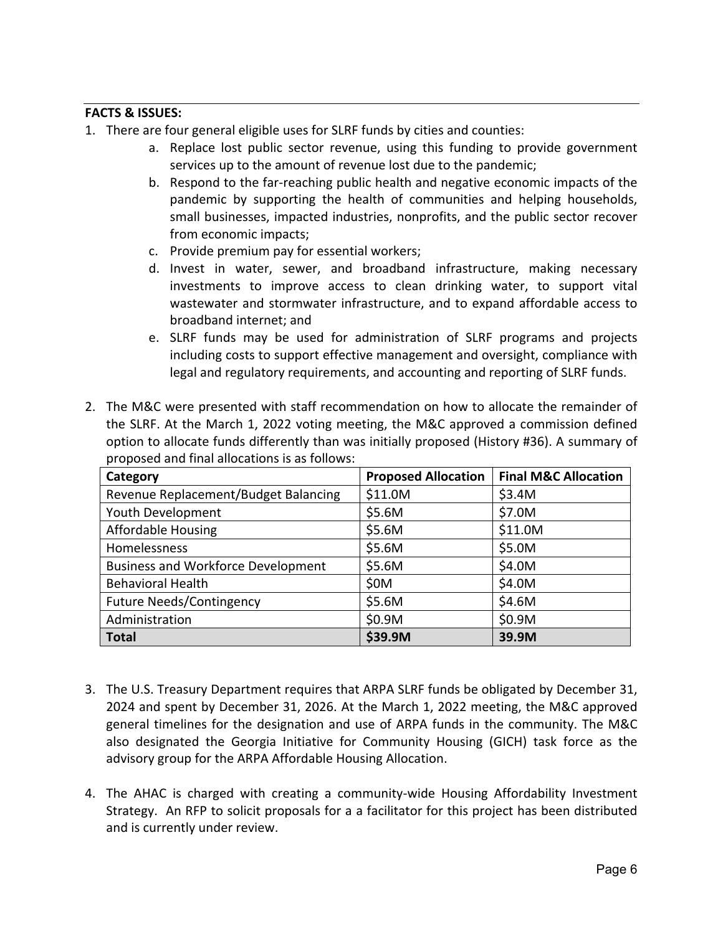## **FACTS & ISSUES:**

- 1. There are four general eligible uses for SLRF funds by cities and counties:
	- a. Replace lost public sector revenue, using this funding to provide government services up to the amount of revenue lost due to the pandemic;
	- b. Respond to the far‐reaching public health and negative economic impacts of the pandemic by supporting the health of communities and helping households, small businesses, impacted industries, nonprofits, and the public sector recover from economic impacts;
	- c. Provide premium pay for essential workers;
	- d. Invest in water, sewer, and broadband infrastructure, making necessary investments to improve access to clean drinking water, to support vital wastewater and stormwater infrastructure, and to expand affordable access to broadband internet; and
	- e. SLRF funds may be used for administration of SLRF programs and projects including costs to support effective management and oversight, compliance with legal and regulatory requirements, and accounting and reporting of SLRF funds.
- 2. The M&C were presented with staff recommendation on how to allocate the remainder of the SLRF. At the March 1, 2022 voting meeting, the M&C approved a commission defined option to allocate funds differently than was initially proposed (History #36). A summary of proposed and final allocations is as follows:

| Category                                  | <b>Proposed Allocation</b> | <b>Final M&amp;C Allocation</b> |
|-------------------------------------------|----------------------------|---------------------------------|
| Revenue Replacement/Budget Balancing      | \$11.0M                    | \$3.4M                          |
| Youth Development                         | \$5.6M                     | \$7.0M                          |
| <b>Affordable Housing</b>                 | \$5.6M                     | \$11.0M                         |
| Homelessness                              | \$5.6M                     | \$5.0M                          |
| <b>Business and Workforce Development</b> | \$5.6M                     | \$4.0M                          |
| <b>Behavioral Health</b>                  | \$0M                       | \$4.0M                          |
| <b>Future Needs/Contingency</b>           | \$5.6M                     | \$4.6M                          |
| Administration                            | \$0.9M                     | \$0.9M                          |
| <b>Total</b>                              | \$39.9M                    | 39.9M                           |

- 3. The U.S. Treasury Department requires that ARPA SLRF funds be obligated by December 31, 2024 and spent by December 31, 2026. At the March 1, 2022 meeting, the M&C approved general timelines for the designation and use of ARPA funds in the community. The M&C also designated the Georgia Initiative for Community Housing (GICH) task force as the advisory group for the ARPA Affordable Housing Allocation.
- 4. The AHAC is charged with creating a community-wide Housing Affordability Investment Strategy. An RFP to solicit proposals for a a facilitator for this project has been distributed and is currently under review.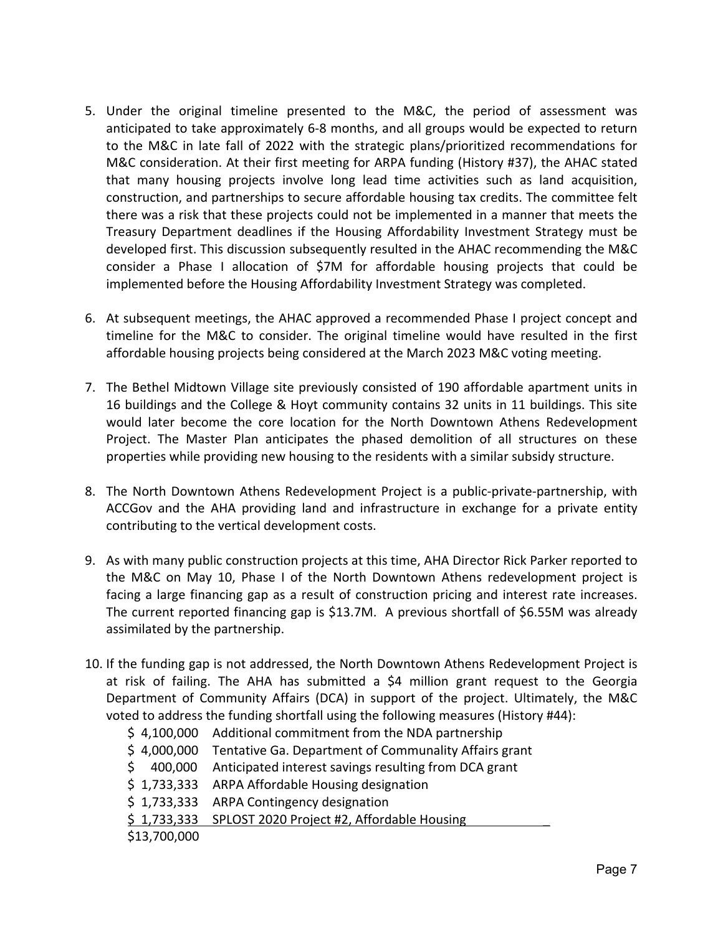- 5. Under the original timeline presented to the M&C, the period of assessment was anticipated to take approximately 6‐8 months, and all groups would be expected to return to the M&C in late fall of 2022 with the strategic plans/prioritized recommendations for M&C consideration. At their first meeting for ARPA funding (History #37), the AHAC stated that many housing projects involve long lead time activities such as land acquisition, construction, and partnerships to secure affordable housing tax credits. The committee felt there was a risk that these projects could not be implemented in a manner that meets the Treasury Department deadlines if the Housing Affordability Investment Strategy must be developed first. This discussion subsequently resulted in the AHAC recommending the M&C consider a Phase I allocation of \$7M for affordable housing projects that could be implemented before the Housing Affordability Investment Strategy was completed.
- 6. At subsequent meetings, the AHAC approved a recommended Phase I project concept and timeline for the M&C to consider. The original timeline would have resulted in the first affordable housing projects being considered at the March 2023 M&C voting meeting.
- 7. The Bethel Midtown Village site previously consisted of 190 affordable apartment units in 16 buildings and the College & Hoyt community contains 32 units in 11 buildings. This site would later become the core location for the North Downtown Athens Redevelopment Project. The Master Plan anticipates the phased demolition of all structures on these properties while providing new housing to the residents with a similar subsidy structure.
- 8. The North Downtown Athens Redevelopment Project is a public‐private‐partnership, with ACCGov and the AHA providing land and infrastructure in exchange for a private entity contributing to the vertical development costs.
- 9. As with many public construction projects at this time, AHA Director Rick Parker reported to the M&C on May 10, Phase I of the North Downtown Athens redevelopment project is facing a large financing gap as a result of construction pricing and interest rate increases. The current reported financing gap is \$13.7M. A previous shortfall of \$6.55M was already assimilated by the partnership.
- 10. If the funding gap is not addressed, the North Downtown Athens Redevelopment Project is at risk of failing. The AHA has submitted a \$4 million grant request to the Georgia Department of Community Affairs (DCA) in support of the project. Ultimately, the M&C voted to address the funding shortfall using the following measures (History #44):

|              | $$4,100,000$ Additional commitment from the NDA partnership |
|--------------|-------------------------------------------------------------|
| \$4,000,000  | Tentative Ga. Department of Communality Affairs grant       |
| \$400,000    | Anticipated interest savings resulting from DCA grant       |
|              | \$1,733,333 ARPA Affordable Housing designation             |
| \$1,733,333  | <b>ARPA Contingency designation</b>                         |
| \$1,733,333  | SPLOST 2020 Project #2, Affordable Housing                  |
| \$13,700,000 |                                                             |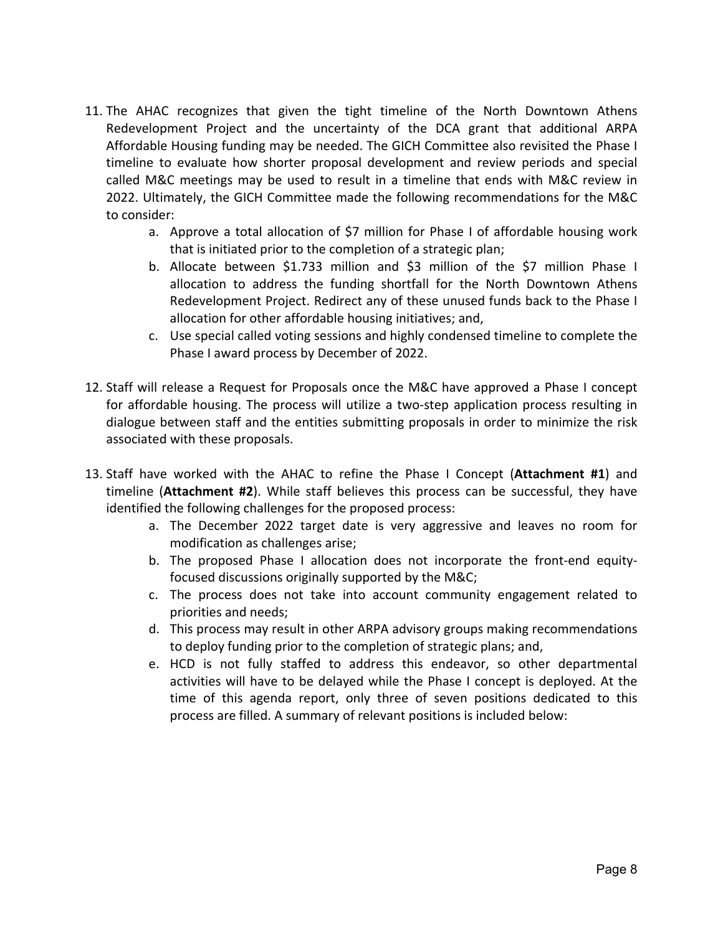- 11. The AHAC recognizes that given the tight timeline of the North Downtown Athens Redevelopment Project and the uncertainty of the DCA grant that additional ARPA Affordable Housing funding may be needed. The GICH Committee also revisited the Phase I timeline to evaluate how shorter proposal development and review periods and special called M&C meetings may be used to result in a timeline that ends with M&C review in 2022. Ultimately, the GICH Committee made the following recommendations for the M&C to consider:
	- a. Approve a total allocation of \$7 million for Phase I of affordable housing work that is initiated prior to the completion of a strategic plan;
	- b. Allocate between \$1.733 million and \$3 million of the \$7 million Phase I allocation to address the funding shortfall for the North Downtown Athens Redevelopment Project. Redirect any of these unused funds back to the Phase I allocation for other affordable housing initiatives; and,
	- c. Use special called voting sessions and highly condensed timeline to complete the Phase I award process by December of 2022.
- 12. Staff will release a Request for Proposals once the M&C have approved a Phase I concept for affordable housing. The process will utilize a two-step application process resulting in dialogue between staff and the entities submitting proposals in order to minimize the risk associated with these proposals.
- 13. Staff have worked with the AHAC to refine the Phase I Concept (**Attachment #1**) and timeline (Attachment #2). While staff believes this process can be successful, they have identified the following challenges for the proposed process:
	- a. The December 2022 target date is very aggressive and leaves no room for modification as challenges arise;
	- b. The proposed Phase I allocation does not incorporate the front-end equityfocused discussions originally supported by the M&C;
	- c. The process does not take into account community engagement related to priorities and needs;
	- d. This process may result in other ARPA advisory groups making recommendations to deploy funding prior to the completion of strategic plans; and,
	- e. HCD is not fully staffed to address this endeavor, so other departmental activities will have to be delayed while the Phase I concept is deployed. At the time of this agenda report, only three of seven positions dedicated to this process are filled. A summary of relevant positions is included below: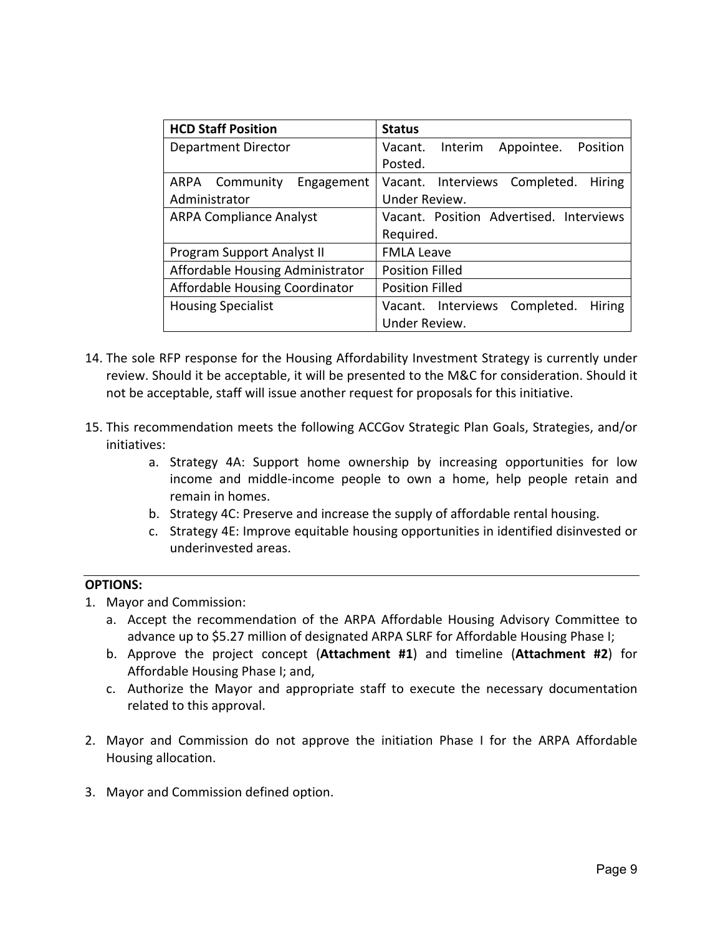| <b>HCD Staff Position</b>             | <b>Status</b>                             |
|---------------------------------------|-------------------------------------------|
| Department Director                   | Vacant. Interim<br>Position<br>Appointee. |
|                                       | Posted.                                   |
| ARPA Community<br>Engagement          | Vacant. Interviews Completed.<br>Hiring   |
| Administrator                         | Under Review.                             |
| <b>ARPA Compliance Analyst</b>        | Vacant. Position Advertised. Interviews   |
|                                       | Required.                                 |
| Program Support Analyst II            | <b>FMLA Leave</b>                         |
| Affordable Housing Administrator      | <b>Position Filled</b>                    |
| <b>Affordable Housing Coordinator</b> | <b>Position Filled</b>                    |
| <b>Housing Specialist</b>             | Vacant. Interviews Completed.<br>Hiring   |
|                                       | Under Review.                             |

- 14. The sole RFP response for the Housing Affordability Investment Strategy is currently under review. Should it be acceptable, it will be presented to the M&C for consideration. Should it not be acceptable, staff will issue another request for proposals for this initiative.
- 15. This recommendation meets the following ACCGov Strategic Plan Goals, Strategies, and/or initiatives:
	- a. Strategy 4A: Support home ownership by increasing opportunities for low income and middle‐income people to own a home, help people retain and remain in homes.
	- b. Strategy 4C: Preserve and increase the supply of affordable rental housing.
	- c. Strategy 4E: Improve equitable housing opportunities in identified disinvested or underinvested areas.

## **OPTIONS:**

- 1. Mayor and Commission:
	- a. Accept the recommendation of the ARPA Affordable Housing Advisory Committee to advance up to \$5.27 million of designated ARPA SLRF for Affordable Housing Phase I;
	- b. Approve the project concept (**Attachment #1**) and timeline (**Attachment #2**) for Affordable Housing Phase I; and,
	- c. Authorize the Mayor and appropriate staff to execute the necessary documentation related to this approval.
- 2. Mayor and Commission do not approve the initiation Phase I for the ARPA Affordable Housing allocation.
- 3. Mayor and Commission defined option.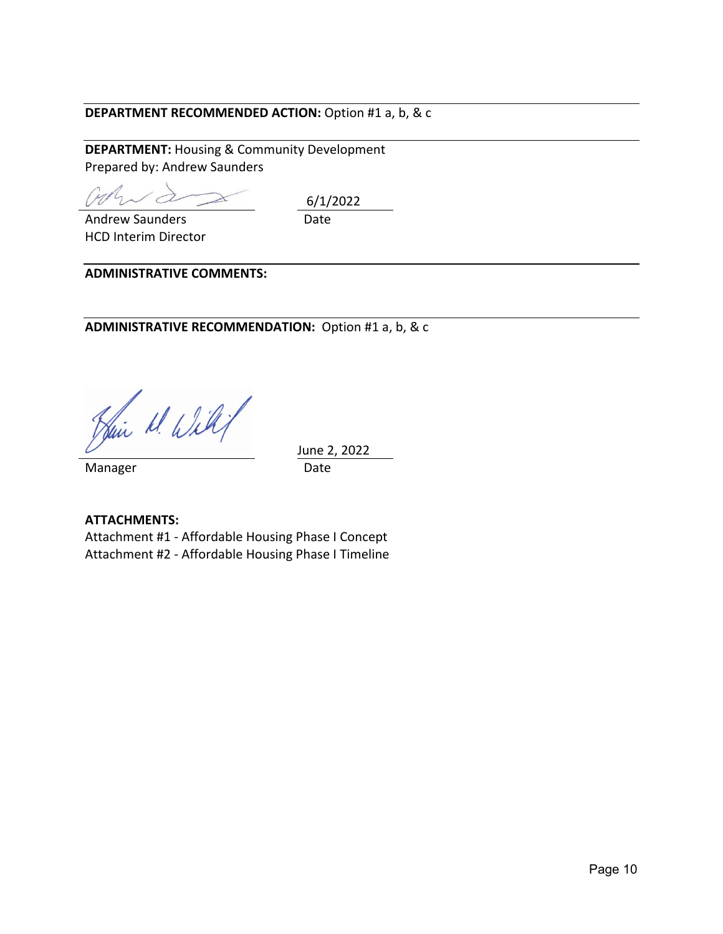# **DEPARTMENT RECOMMENDED ACTION:** Option #1 a, b, & c

**DEPARTMENT:** Housing & Community Development Prepared by: Andrew Saunders

Cypri

 Date 6/1/2022

HCD Interim Director

Andrew Saunders

**ADMINISTRATIVE COMMENTS:** 

ADMINISTRATIVE RECOMMENDATION: Option #1 a, b, & c

Hair M. Willy

 June 2, 2022 Manager **Date** 

**ATTACHMENTS:**  Attachment #1 ‐ Affordable Housing Phase I Concept Attachment #2 ‐ Affordable Housing Phase I Timeline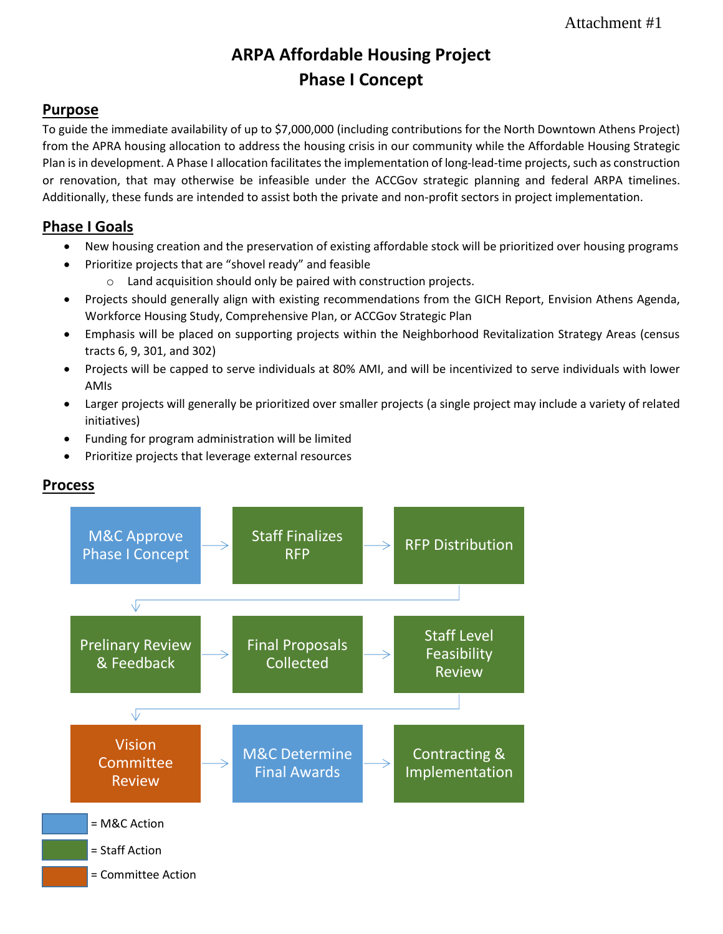# **ARPA Affordable Housing Project Phase I Concept**

# **Purpose**

To guide the immediate availability of up to \$7,000,000 (including contributions for the North Downtown Athens Project) from the APRA housing allocation to address the housing crisis in our community while the Affordable Housing Strategic Plan is in development. A Phase I allocation facilitates the implementation of long-lead-time projects, such as construction or renovation, that may otherwise be infeasible under the ACCGov strategic planning and federal ARPA timelines. Additionally, these funds are intended to assist both the private and non-profit sectors in project implementation.

# **Phase I Goals**

- New housing creation and the preservation of existing affordable stock will be prioritized over housing programs
	- Prioritize projects that are "shovel ready" and feasible
		- o Land acquisition should only be paired with construction projects.
- Projects should generally align with existing recommendations from the GICH Report, Envision Athens Agenda, Workforce Housing Study, Comprehensive Plan, or ACCGov Strategic Plan
- Emphasis will be placed on supporting projects within the Neighborhood Revitalization Strategy Areas (census tracts 6, 9, 301, and 302)
- Projects will be capped to serve individuals at 80% AMI, and will be incentivized to serve individuals with lower AMIs
- Larger projects will generally be prioritized over smaller projects (a single project may include a variety of related initiatives)
- Funding for program administration will be limited
- Prioritize projects that leverage external resources



# **Process**